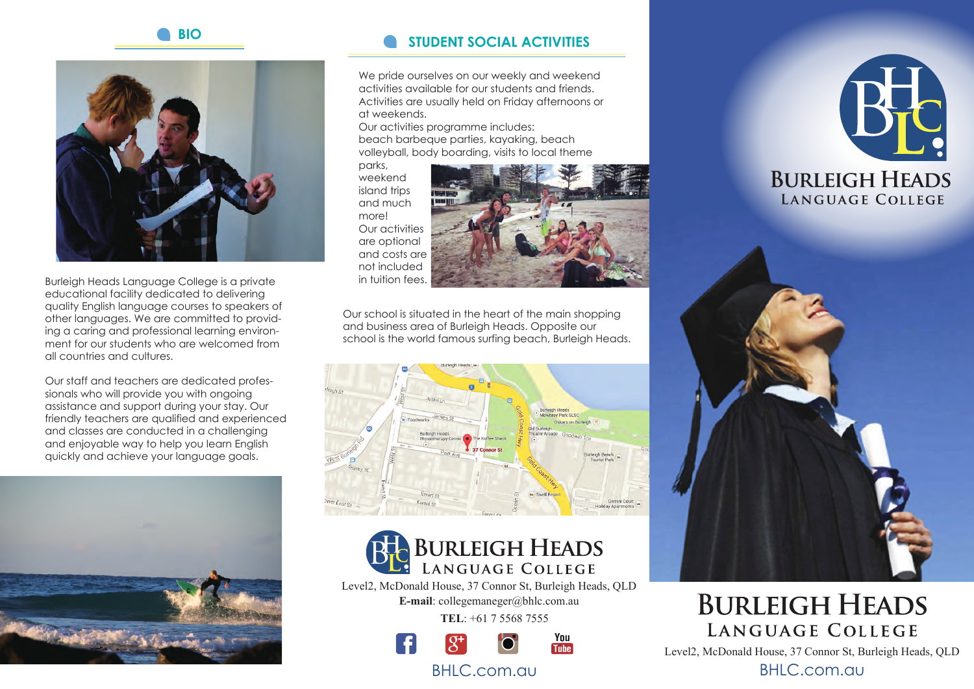

Burleigh Heads Language College is a private educational facility dedicated to delivering quality English language courses to speakers of other languages. We are committed to providing a caring and professional learning environment for our students who are welcomed from all countries and cultures.

Our staff and teachers are dedicated professionals who will provide you with ongoing assistance and support during your stay. Our friendly teachers are qualified and experienced and classes are conducted in a challenging and enjoyable way to help you learn English quickly and achieve your language goals.



# **BIO STUDENT SOCIAL ACTIVITIES**

We pride ourselves on our weekly and weekend activities available for our students and friends. Activities are usually held on Friday afternoons or at weekends.

Our activities programme includes: beach barbeque parties, kayaking, beach volleyball, body boarding, visits to local theme

parks, weekend island trips and much more! Our activities are optional and costs are not included in tuition fees.



Our school is situated in the heart of the main shopping and business area of Burleigh Heads. Opposite our school is the world famous surfing beach, Burleigh Heads.





Level2, McDonald House, 37 Connor St, Burleigh Heads, QLD **E-mail**: collegemaneger@bhlc.com.au

**TEL**: +61 7 5568 7555



### BHLC.com.au





# **BURLEIGH HEADS** LANGUAGE COLLEGE

Level2, McDonald House, 37 Connor St, Burleigh Heads, QLD

BHLC.com.au